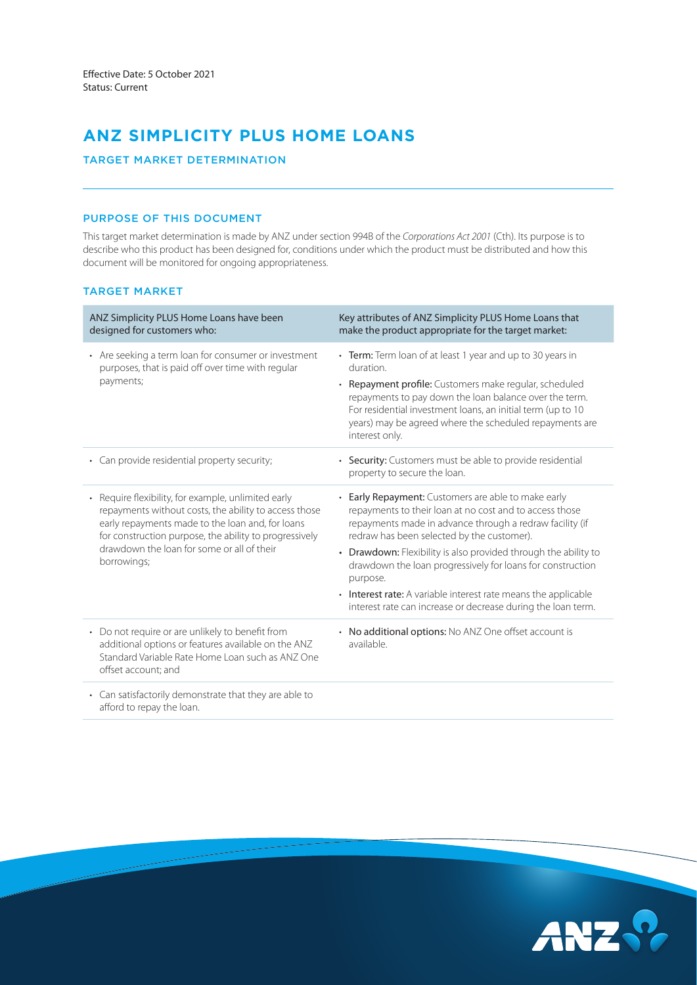# **ANZ SIMPLICITY PLUS HOME LOANS**

# TARGET MARKET DETERMINATION

# PURPOSE OF THIS DOCUMENT

This target market determination is made by ANZ under section 994B of the *Corporations Act 2001* (Cth). Its purpose is to describe who this product has been designed for, conditions under which the product must be distributed and how this document will be monitored for ongoing appropriateness.

# TARGET MARKET

| ANZ Simplicity PLUS Home Loans have been<br>designed for customers who:                                                                                                                                                               | Key attributes of ANZ Simplicity PLUS Home Loans that<br>make the product appropriate for the target market:                                                                                                                                                                                                                            |
|---------------------------------------------------------------------------------------------------------------------------------------------------------------------------------------------------------------------------------------|-----------------------------------------------------------------------------------------------------------------------------------------------------------------------------------------------------------------------------------------------------------------------------------------------------------------------------------------|
| • Are seeking a term loan for consumer or investment<br>purposes, that is paid off over time with regular<br>payments;                                                                                                                | • Term: Term loan of at least 1 year and up to 30 years in<br>duration.<br>• Repayment profile: Customers make regular, scheduled<br>repayments to pay down the loan balance over the term.<br>For residential investment loans, an initial term (up to 10<br>years) may be agreed where the scheduled repayments are<br>interest only. |
| • Can provide residential property security;                                                                                                                                                                                          | • Security: Customers must be able to provide residential<br>property to secure the loan.                                                                                                                                                                                                                                               |
| Require flexibility, for example, unlimited early<br>$\bullet$<br>repayments without costs, the ability to access those<br>early repayments made to the loan and, for loans<br>for construction purpose, the ability to progressively | • Early Repayment: Customers are able to make early<br>repayments to their loan at no cost and to access those<br>repayments made in advance through a redraw facility (if<br>redraw has been selected by the customer).                                                                                                                |
| drawdown the loan for some or all of their<br>borrowings;                                                                                                                                                                             | • Drawdown: Flexibility is also provided through the ability to<br>drawdown the loan progressively for loans for construction<br>purpose.                                                                                                                                                                                               |
|                                                                                                                                                                                                                                       | • Interest rate: A variable interest rate means the applicable<br>interest rate can increase or decrease during the loan term.                                                                                                                                                                                                          |
| • Do not require or are unlikely to benefit from<br>additional options or features available on the ANZ<br>Standard Variable Rate Home Loan such as ANZ One<br>offset account; and                                                    | • No additional options: No ANZ One offset account is<br>available.                                                                                                                                                                                                                                                                     |
| . Can eatiefactorily demonetrate that they are able to                                                                                                                                                                                |                                                                                                                                                                                                                                                                                                                                         |

Can satisfactorily demonstrate that they are able to afford to repay the loan.

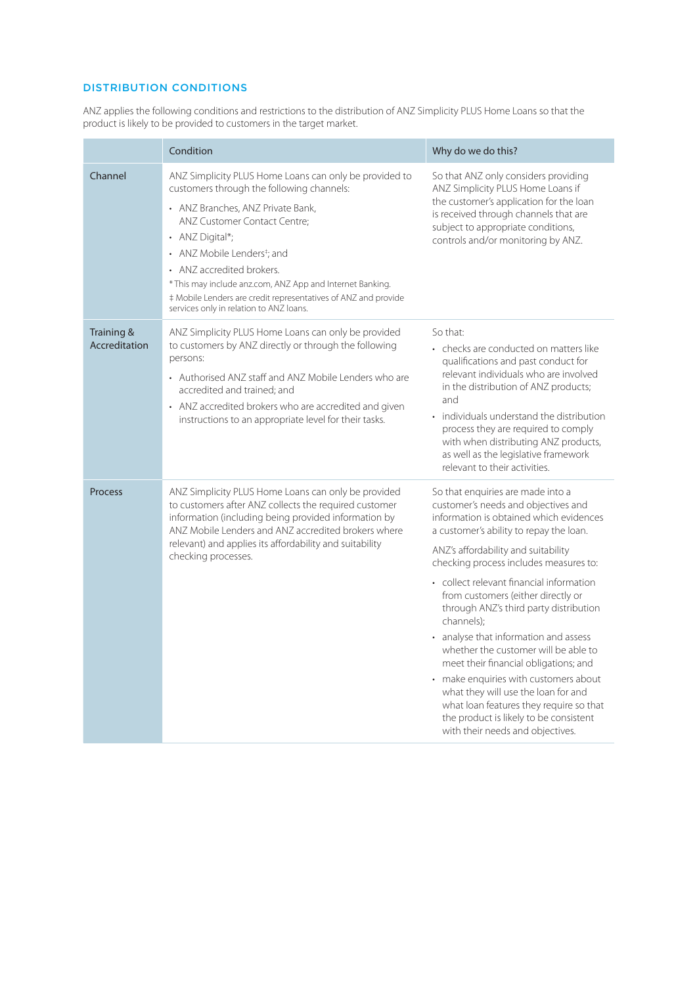# DISTRIBUTION CONDITIONS

ANZ applies the following conditions and restrictions to the distribution of ANZ Simplicity PLUS Home Loans so that the product is likely to be provided to customers in the target market.

|                             | Condition                                                                                                                                                                                                                                                                                                                                                                                                                                     | Why do we do this?                                                                                                                                                                                                                                                                                                                                                                                                                                                                                                                                                                                                                                                                                                           |
|-----------------------------|-----------------------------------------------------------------------------------------------------------------------------------------------------------------------------------------------------------------------------------------------------------------------------------------------------------------------------------------------------------------------------------------------------------------------------------------------|------------------------------------------------------------------------------------------------------------------------------------------------------------------------------------------------------------------------------------------------------------------------------------------------------------------------------------------------------------------------------------------------------------------------------------------------------------------------------------------------------------------------------------------------------------------------------------------------------------------------------------------------------------------------------------------------------------------------------|
| Channel                     | ANZ Simplicity PLUS Home Loans can only be provided to<br>customers through the following channels:<br>• ANZ Branches, ANZ Private Bank,<br>ANZ Customer Contact Centre:<br>• ANZ Digital*;<br>• ANZ Mobile Lenders <sup>‡</sup> ; and<br>• ANZ accredited brokers.<br>* This may include anz.com, ANZ App and Internet Banking.<br># Mobile Lenders are credit representatives of ANZ and provide<br>services only in relation to ANZ loans. | So that ANZ only considers providing<br>ANZ Simplicity PLUS Home Loans if<br>the customer's application for the loan<br>is received through channels that are<br>subject to appropriate conditions,<br>controls and/or monitoring by ANZ.                                                                                                                                                                                                                                                                                                                                                                                                                                                                                    |
| Training &<br>Accreditation | ANZ Simplicity PLUS Home Loans can only be provided<br>to customers by ANZ directly or through the following<br>persons:<br>• Authorised ANZ staff and ANZ Mobile Lenders who are<br>accredited and trained: and<br>• ANZ accredited brokers who are accredited and given<br>instructions to an appropriate level for their tasks.                                                                                                            | So that:<br>• checks are conducted on matters like<br>qualifications and past conduct for<br>relevant individuals who are involved<br>in the distribution of ANZ products;<br>and<br>individuals understand the distribution<br>process they are required to comply<br>with when distributing ANZ products,<br>as well as the legislative framework<br>relevant to their activities                                                                                                                                                                                                                                                                                                                                          |
| Process                     | ANZ Simplicity PLUS Home Loans can only be provided<br>to customers after ANZ collects the required customer<br>information (including being provided information by<br>ANZ Mobile Lenders and ANZ accredited brokers where<br>relevant) and applies its affordability and suitability<br>checking processes.                                                                                                                                 | So that enquiries are made into a<br>customer's needs and objectives and<br>information is obtained which evidences<br>a customer's ability to repay the loan.<br>ANZ's affordability and suitability<br>checking process includes measures to:<br>• collect relevant financial information<br>from customers (either directly or<br>through ANZ's third party distribution<br>channels):<br>• analyse that information and assess<br>whether the customer will be able to<br>meet their financial obligations; and<br>• make enquiries with customers about<br>what they will use the loan for and<br>what loan features they require so that<br>the product is likely to be consistent<br>with their needs and objectives. |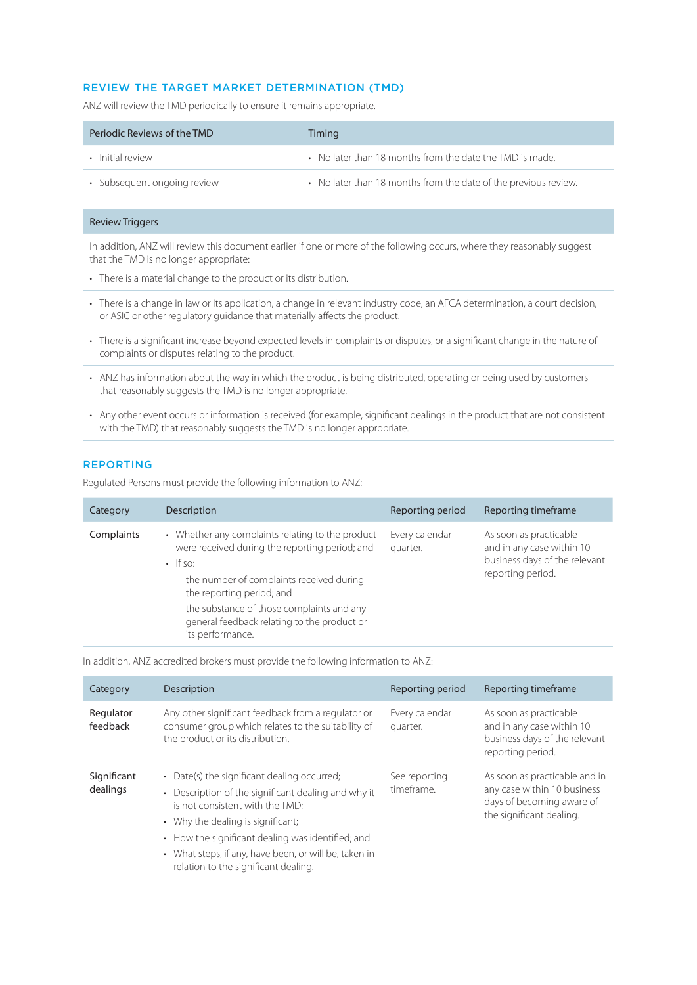# REVIEW THE TARGET MARKET DETERMINATION (TMD)

ANZ will review the TMD periodically to ensure it remains appropriate.

| Periodic Reviews of the TMD | Timing                                                          |
|-----------------------------|-----------------------------------------------------------------|
| • Initial review            | • No later than 18 months from the date the TMD is made.        |
| • Subsequent ongoing review | • No later than 18 months from the date of the previous review. |

## Review Triggers

In addition, ANZ will review this document earlier if one or more of the following occurs, where they reasonably suggest that the TMD is no longer appropriate:

- There is a material change to the product or its distribution.
- There is a change in law or its application, a change in relevant industry code, an AFCA determination, a court decision, or ASIC or other regulatory guidance that materially affects the product.
- There is a significant increase beyond expected levels in complaints or disputes, or a significant change in the nature of complaints or disputes relating to the product.
- ANZ has information about the way in which the product is being distributed, operating or being used by customers that reasonably suggests the TMD is no longer appropriate.
- Any other event occurs or information is received (for example, significant dealings in the product that are not consistent with the TMD) that reasonably suggests the TMD is no longer appropriate.

## REPORTING

Regulated Persons must provide the following information to ANZ:

| Category   | Description                                                                                                                                                                                                                                                                                                       | Reporting period           | Reporting timeframe                                                                                       |
|------------|-------------------------------------------------------------------------------------------------------------------------------------------------------------------------------------------------------------------------------------------------------------------------------------------------------------------|----------------------------|-----------------------------------------------------------------------------------------------------------|
| Complaints | • Whether any complaints relating to the product<br>were received during the reporting period; and<br>$\cdot$ If so:<br>- the number of complaints received during<br>the reporting period; and<br>- the substance of those complaints and any<br>general feedback relating to the product or<br>its performance. | Every calendar<br>quarter. | As soon as practicable<br>and in any case within 10<br>business days of the relevant<br>reporting period. |

In addition, ANZ accredited brokers must provide the following information to ANZ:

| Category                | Description                                                                                                                                                                                                                                                                                                                                 | Reporting period            | Reporting timeframe                                                                                                   |
|-------------------------|---------------------------------------------------------------------------------------------------------------------------------------------------------------------------------------------------------------------------------------------------------------------------------------------------------------------------------------------|-----------------------------|-----------------------------------------------------------------------------------------------------------------------|
| Regulator<br>feedback   | Any other significant feedback from a regulator or<br>consumer group which relates to the suitability of<br>the product or its distribution.                                                                                                                                                                                                | Every calendar<br>quarter.  | As soon as practicable<br>and in any case within 10<br>business days of the relevant<br>reporting period.             |
| Significant<br>dealings | • Date(s) the significant dealing occurred;<br>Description of the significant dealing and why it<br>$\bullet$<br>is not consistent with the TMD:<br>• Why the dealing is significant;<br>• How the significant dealing was identified; and<br>• What steps, if any, have been, or will be, taken in<br>relation to the significant dealing. | See reporting<br>timeframe. | As soon as practicable and in<br>any case within 10 business<br>days of becoming aware of<br>the significant dealing. |